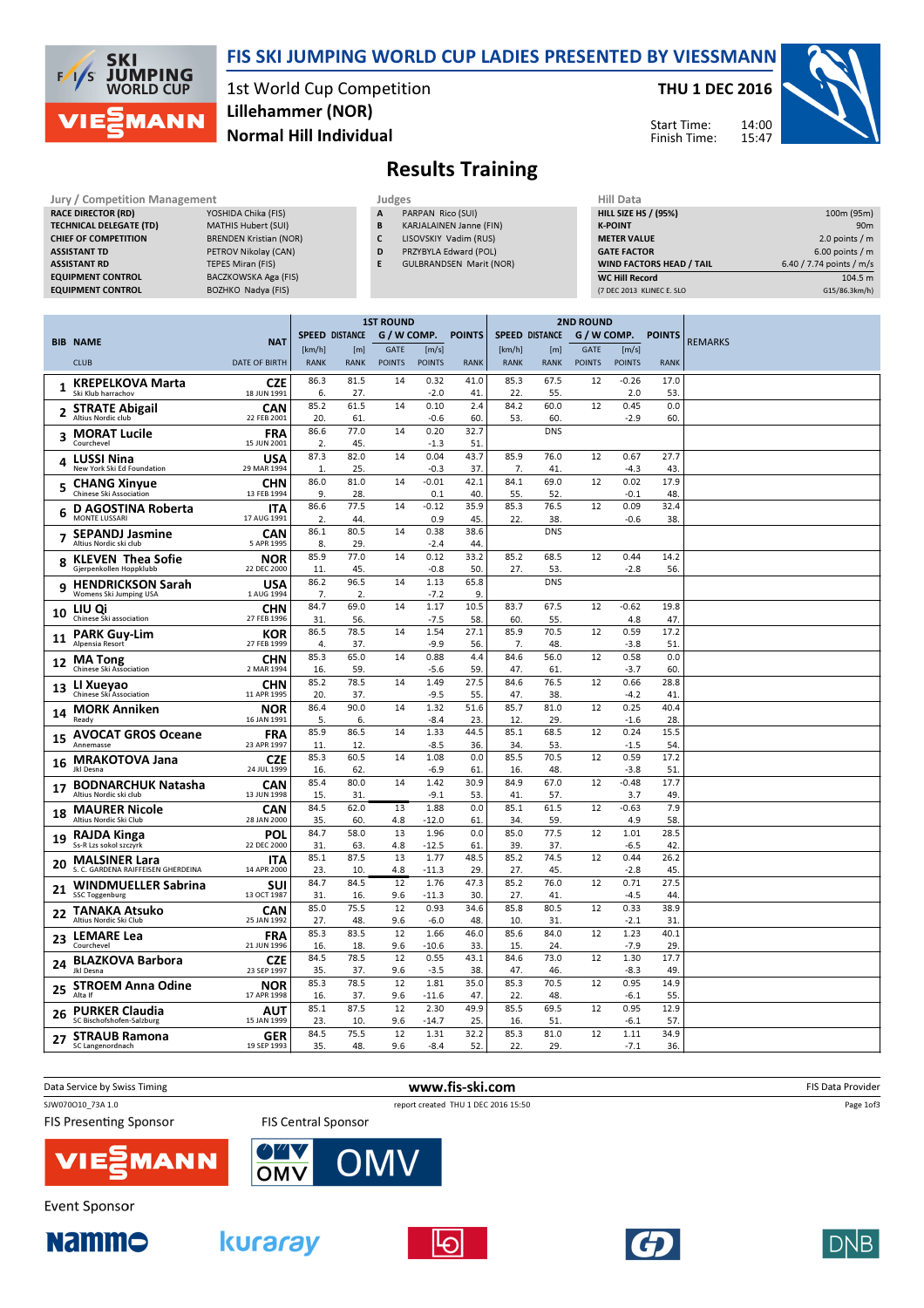

### FIS SKI JUMPING WORLD CUP LADIES PRESENTED BY VIESSMANN

1st World Cup Competition Normal Hill Individual Lillehammer (NOR)

THU 1 DEC 2016

Start Time: Finish Time: 14:00



> $\overline{104.5 \text{ m}}$ G15/86.3km/h)

## Results Training

| Jury / Competition Management  |                               |              | <b>Judges</b>                  | Hill Data                       |                          |  |  |
|--------------------------------|-------------------------------|--------------|--------------------------------|---------------------------------|--------------------------|--|--|
| <b>RACE DIRECTOR (RD)</b>      | YOSHIDA Chika (FIS)           | $\mathsf{A}$ | PARPAN Rico (SUI)              | <b>HILL SIZE HS / (95%)</b>     | 100m (95m)               |  |  |
| <b>TECHNICAL DELEGATE (TD)</b> | MATHIS Hubert (SUI)           | B            | KARJALAINEN Janne (FIN)        | <b>K-POINT</b>                  | 90 <sub>m</sub>          |  |  |
| <b>CHIEF OF COMPETITION</b>    | <b>BRENDEN Kristian (NOR)</b> |              | LISOVSKIY Vadim (RUS)          | <b>METER VALUE</b>              | 2.0 points / $m$         |  |  |
| <b>ASSISTANT TD</b>            | PETROV Nikolay (CAN)          | D            | PRZYBYLA Edward (POL)          | <b>GATE FACTOR</b>              | $6.00$ points / m        |  |  |
| <b>ASSISTANT RD</b>            | TEPES Miran (FIS)             |              | <b>GULBRANDSEN Marit (NOR)</b> | <b>WIND FACTORS HEAD / TAIL</b> | 6.40 / 7.74 points / m/s |  |  |
| <b>EQUIPMENT CONTROL</b>       | BACZKOWSKA Aga (FIS)          |              |                                | <b>WC Hill Record</b>           | 104.5 m                  |  |  |
| <b>EQUIPMENT CONTROL</b>       | BOZHKO Nadya (FIS)            |              |                                | (7 DEC 2013 KLINEC E. SLO       | G15/86.3km/h)            |  |  |
|                                |                               |              |                                |                                 |                          |  |  |

|              |                                                     |                           | <b>1ST ROUND</b> |                       |               |                | <b>2ND ROUND</b> |                       |                   |               |                |               |                |
|--------------|-----------------------------------------------------|---------------------------|------------------|-----------------------|---------------|----------------|------------------|-----------------------|-------------------|---------------|----------------|---------------|----------------|
|              | <b>BIB NAME</b>                                     | <b>NAT</b>                |                  | <b>SPEED DISTANCE</b> | G / W COMP.   |                | <b>POINTS</b>    | <b>SPEED DISTANCE</b> |                   | G / W COMP.   |                | <b>POINTS</b> | <b>REMARKS</b> |
|              |                                                     |                           | [km/h]           | [m]                   | <b>GATE</b>   | [m/s]          |                  | [km/h]                | [m]               | <b>GATE</b>   | [m/s]          |               |                |
|              | <b>CLUB</b>                                         | <b>DATE OF BIRTH</b>      | <b>RANK</b>      | <b>RANK</b>           | <b>POINTS</b> | <b>POINTS</b>  | <b>RANK</b>      | <b>RANK</b>           | <b>RANK</b>       | <b>POINTS</b> | <b>POINTS</b>  | <b>RANK</b>   |                |
|              | <b>KREPELKOVA Marta</b>                             | <b>CZE</b>                | 86.3             | 81.5                  | 14            | 0.32           | 41.0             | 85.3                  | 67.5              | 12            | $-0.26$        | 17.0          |                |
| 1            | Ski Klub harrachov                                  | 18 JUN 1991               | 6.               | 27.                   |               | $-2.0$         | 41.              | 22.                   | 55.               |               | 2.0            | 53            |                |
| $\mathbf{2}$ | <b>STRATE Abigail</b>                               | CAN                       | 85.2             | 61.5                  | 14            | 0.10           | 2.4              | 84.2                  | 60.0              | 12            | 0.45           | 0.0           |                |
|              | <b>Altius Nordic club</b>                           | 22 FEB 2001               | 20.              | 61.                   |               | $-0.6$         | 60.              | 53.                   | 60.               |               | $-2.9$         | 60            |                |
| 3            | <b>MORAT Lucile</b>                                 | <b>FRA</b>                | 86.6             | 77.0                  | 14            | 0.20           | 32.7             |                       | <b>DNS</b>        |               |                |               |                |
|              | Courchevel                                          | 15 JUN 2001               | 2.               | 45.                   |               | $-1.3$         | 51               |                       |                   |               |                |               |                |
| 4            | <b>LUSSI Nina</b>                                   | USA                       | 87.3             | 82.0                  | 14            | 0.04           | 43.7             | 85.9                  | 76.0              | 12            | 0.67           | 27.7          |                |
|              | New York Ski Ed Foundation                          | 29 MAR 1994               | 1.               | 25.                   |               | $-0.3$         | 37.              | 7.                    | 41.               |               | $-4.3$         | 43            |                |
| 5            | <b>CHANG Xinyue</b>                                 | <b>CHN</b>                | 86.0             | 81.0                  | 14            | $-0.01$        | 42.1             | 84.1                  | 69.0              | 12            | 0.02           | 17.9          |                |
|              | Chinese Ski Association                             | 13 FEB 1994               | 9.               | 28.                   |               | 0.1            | 40.              | 55.                   | 52.               |               | $-0.1$         | 48            |                |
| 6            | D AGOSTINA Roberta<br><b>MONTE LUSSARI</b>          | <b>ITA</b><br>17 AUG 1991 | 86.6             | 77.5<br>44.           | 14            | $-0.12$        | 35.9             | 85.3                  | 76.5              | 12            | 0.09           | 32.4          |                |
|              |                                                     |                           | 2.<br>86.1       | 80.5                  | 14            | 0.9<br>0.38    | 45.<br>38.6      | 22.                   | 38.<br><b>DNS</b> |               | $-0.6$         | 38            |                |
| 7            | <b>SEPANDJ Jasmine</b><br>Altius Nordic ski club    | <b>CAN</b><br>5 APR 1995  | 8.               | 29.                   |               | $-2.4$         | 44               |                       |                   |               |                |               |                |
|              |                                                     |                           | 85.9             | 77.0                  | 14            | 0.12           | 33.2             | 85.2                  | 68.5              | 12            | 0.44           | 14.2          |                |
| 8            | <b>KLEVEN Thea Sofie</b><br>Gjerpenkollen Hoppklubb | <b>NOR</b><br>22 DEC 2000 | 11.              | 45.                   |               | $-0.8$         | 50.              | 27.                   | 53.               |               | $-2.8$         | 56.           |                |
|              | <b>HENDRICKSON Sarah</b>                            | <b>USA</b>                | 86.2             | 96.5                  | 14            | 1.13           | 65.8             |                       | <b>DNS</b>        |               |                |               |                |
| 9            | Womens Ski Jumping USA                              | 1 AUG 1994                | 7.               | 2.                    |               | $-7.2$         | 9.               |                       |                   |               |                |               |                |
|              | LIU Qi                                              | CHN                       | 84.7             | 69.0                  | 14            | 1.17           | 10.5             | 83.7                  | 67.5              | 12            | $-0.62$        | 19.8          |                |
| 10           | Chinese Ski association                             | 27 FEB 1996               | 31.              | 56.                   |               | $-7.5$         | 58.              | 60                    | 55.               |               | 4.8            | 47            |                |
|              | <b>PARK Guy-Lim</b>                                 | <b>KOR</b>                | 86.5             | 78.5                  | 14            | 1.54           | 27.1             | 85.9                  | 70.5              | 12            | 0.59           | 17.2          |                |
| 11           | Alpensia Resort                                     | 27 FEB 1999               | $\overline{4}$   | 37.                   |               | $-9.9$         | 56.              | 7.                    | 48.               |               | $-3.8$         | 51            |                |
| 12           | <b>MA Tong</b>                                      | CHN                       | 85.3             | 65.0                  | 14            | 0.88           | 4.4              | 84.6                  | 56.0              | 12            | 0.58           | 0.0           |                |
|              | <b>Chinese Ski Association</b>                      | 2 MAR 1994                | 16.              | 59.                   |               | $-5.6$         | 59.              | 47.                   | 61.               |               | $-3.7$         | 60            |                |
| 13           | LI Xueyao                                           | CHN                       | 85.2             | 78.5                  | 14            | 1.49           | 27.5             | 84.6                  | 76.5              | 12            | 0.66           | 28.8          |                |
|              | Chinese Ski Association                             | 11 APR 1995               | 20.              | 37.                   |               | $-9.5$         | 55.              | 47.                   | 38.               |               | $-4.2$         | 41            |                |
| 14           | <b>MORK Anniken</b>                                 | <b>NOR</b>                | 86.4             | 90.0                  | 14            | 1.32           | 51.6             | 85.7                  | 81.0              | 12            | 0.25           | 40.4          |                |
|              | Ready                                               | 16 JAN 1991               | 5.               | 6.                    |               | $-8.4$         | 23.              | 12.                   | 29.               |               | $-1.6$         | 28            |                |
| 15           | <b>AVOCAT GROS Oceane</b><br>Annemasse              | <b>FRA</b><br>23 APR 1997 | 85.9             | 86.5                  | 14            | 1.33<br>$-8.5$ | 44.5             | 85.1<br>34.           | 68.5<br>53.       | 12            | 0.24           | 15.5          |                |
|              |                                                     |                           | 11.<br>85.3      | 12.<br>60.5           | 14            | 1.08           | 36.<br>0.0       | 85.5                  | 70.5              | 12            | $-1.5$<br>0.59 | 54<br>17.2    |                |
| 16           | <b>MRAKOTOVA Jana</b><br>Jkl Desna                  | <b>CZE</b><br>24 JUL 1999 | 16.              | 62.                   |               | $-6.9$         | 61.              | 16.                   | 48.               |               | $-3.8$         | 51            |                |
|              | <b>BODNARCHUK Natasha</b>                           | CAN                       | 85.4             | 80.0                  | 14            | 1.42           | 30.9             | 84.9                  | 67.0              | 12            | $-0.48$        | 17.7          |                |
| 17           | Altius Nordic ski club                              | 13 JUN 1998               | 15.              | 31.                   |               | $-9.1$         | 53.              | 41                    | 57.               |               | 3.7            | 49            |                |
|              | <b>MAURER Nicole</b>                                | <b>CAN</b>                | 84.5             | 62.0                  | 13            | 1.88           | 0.0              | 85.1                  | 61.5              | 12            | $-0.63$        | 7.9           |                |
| 18           | Altius Nordic Ski Club                              | 28 JAN 2000               | 35.              | 60.                   | 4.8           | $-12.0$        | 61.              | 34                    | 59.               |               | 4.9            | 58            |                |
| 19           | <b>RAJDA Kinga</b>                                  | POL                       | 84.7             | 58.0                  | 13            | 1.96           | 0.0              | 85.0                  | 77.5              | 12            | 1.01           | 28.5          |                |
|              | Ss-R Lzs sokol szczyrk                              | 22 DEC 2000               | 31.              | 63.                   | 4.8           | $-12.5$        | 61.              | 39                    | 37.               |               | $-6.5$         | 42            |                |
| 20           | <b>MALSINER Lara</b>                                | <b>ITA</b>                | 85.1             | 87.5                  | 13            | 1.77           | 48.5             | 85.2                  | 74.5              | 12            | 0.44           | 26.2          |                |
|              | S. C. GARDENA RAIFFEISEN GHERDEINA                  | 14 APR 2000               | 23.              | 10.                   | 4.8           | $-11.3$        | 29.              | 27.                   | 45.               |               | $-2.8$         | 45            |                |
| 21           | <b>WINDMUELLER Sabrina</b>                          | <b>SUI</b>                | 84.7             | 84.5                  | 12            | 1.76           | 47.3             | 85.2                  | 76.0              | 12            | 0.71           | 27.5          |                |
|              | <b>SSC Toggenburg</b>                               | 13 OCT 1987               | 31.              | 16.                   | 9.6           | $-11.3$        | 30.              | 27.                   | 41.               |               | $-4.5$         | 44            |                |
| 22           | <b>TANAKA Atsuko</b><br>Altius Nordic Ski Club      | CAN<br>25 JAN 1992        | 85.0<br>27.      | 75.5<br>48.           | 12<br>9.6     | 0.93<br>$-6.0$ | 34.6<br>48.      | 85.8<br>10.           | 80.5<br>31.       | 12            | 0.33<br>$-2.1$ | 38.9<br>31    |                |
|              |                                                     |                           | 85.3             | 83.5                  | 12            | 1.66           | 46.0             | 85.6                  | 84.0              | 12            | 1.23           | 40.1          |                |
| 23           | <b>LEMARE Lea</b><br>Courchevel                     | <b>FRA</b><br>21 JUN 1996 | 16.              | 18.                   | 9.6           | $-10.6$        | 33.              | 15                    | 24.               |               | $-7.9$         | 29            |                |
|              |                                                     |                           | 84.5             | 78.5                  | 12            | 0.55           | 43.1             | 84.6                  | 73.0              | 12            | 1.30           | 17.7          |                |
| 24           | <b>BLAZKOVA Barbora</b><br>Jkl Desna                | <b>CZE</b><br>23 SEP 1997 | 35.              | 37.                   | 9.6           | $-3.5$         | 38.              | 47.                   | 46.               |               | $-8.3$         | 49            |                |
|              | <b>STROEM Anna Odine</b>                            | <b>NOR</b>                | 85.3             | 78.5                  | 12            | 1.81           | 35.0             | 85.3                  | 70.5              | 12            | 0.95           | 14.9          |                |
| 25           | Alta If                                             | 17 APR 1998               | 16.              | 37.                   | 9.6           | $-11.6$        | 47.              | 22.                   | 48.               |               | $-6.1$         | 55            |                |
|              | <b>PURKER Claudia</b>                               | AUT                       | 85.1             | 87.5                  | 12            | 2.30           | 49.9             | 85.5                  | 69.5              | 12            | 0.95           | 12.9          |                |
| 26           | SC Bischofshofen-Salzburg                           | 15 JAN 1999               | 23.              | 10.                   | 9.6           | -14.7          | 25.              | 16.                   | 51.               |               | -6.1           | 57            |                |
| 27           | <b>STRAUB Ramona</b>                                | <b>GER</b>                | 84.5             | 75.5                  | 12            | 1.31           | 32.2             | 85.3                  | 81.0              | 12            | 1.11           | 34.9          |                |
|              | SC Langenordnach                                    | 19 SEP 1993               | 35.              | 48.                   | 9.6           | $-8.4$         | 52.              | 22.                   | 29.               |               | $-7.1$         | 36.           |                |

| Data Service by Swiss Timing  | www.fis-ski.com                     | <b>FIS Data Provider</b> |
|-------------------------------|-------------------------------------|--------------------------|
| SJW070O10 73A 1.0             | report created THU 1 DEC 2016 15:50 | Page 1of3                |
| <b>FIS Presenting Sponsor</b> | <b>FIS Central Sponsor</b>          |                          |
| <b>VIE EMANN</b>              | <b>OWY OMV</b>                      |                          |
| Event Sponsor                 |                                     |                          |









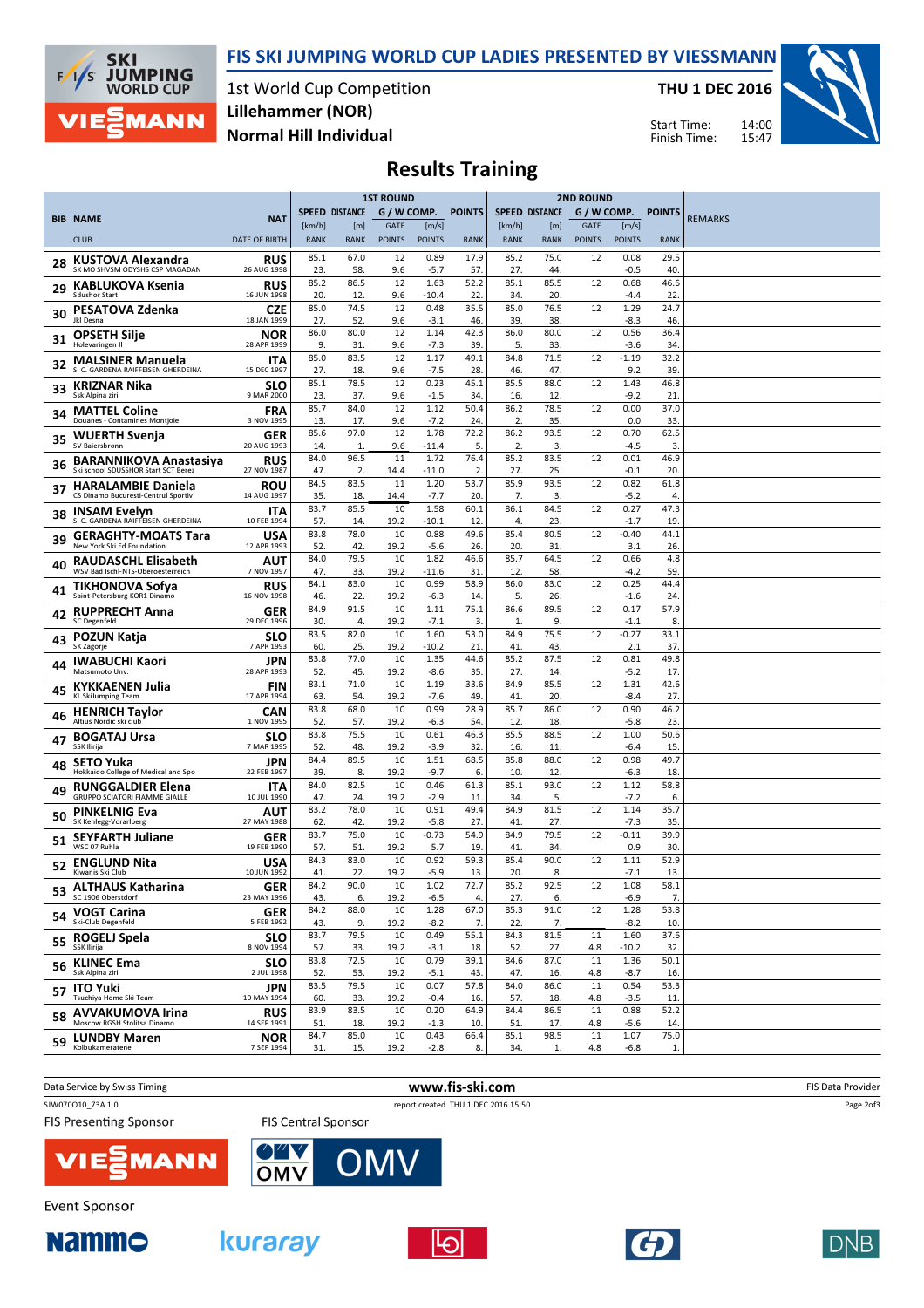FIS SKI JUMPING WORLD CUP LADIES PRESENTED BY VIESSMANN



1st World Cup Competition Normal Hill Individual Lillehammer (NOR)

THU 1 DEC 2016

Start Time: Finish Time:



# Results Training

|     |                                                                      |                           | <b>1ST ROUND</b>      |                       |                              | <b>2ND ROUND</b>       |               |                       |                    |                              |                        |                      |                |
|-----|----------------------------------------------------------------------|---------------------------|-----------------------|-----------------------|------------------------------|------------------------|---------------|-----------------------|--------------------|------------------------------|------------------------|----------------------|----------------|
|     | <b>BIB NAME</b>                                                      | <b>NAT</b>                |                       | <b>SPEED DISTANCE</b> | G / W COMP.                  |                        | <b>POINTS</b> | <b>SPEED DISTANCE</b> |                    | G / W COMP.                  |                        | <b>POINTS</b>        | <b>REMARKS</b> |
|     | <b>CLUB</b>                                                          | DATE OF BIRTH             | [km/h]<br><b>RANK</b> | [m]<br><b>RANK</b>    | <b>GATE</b><br><b>POINTS</b> | [m/s]<br><b>POINTS</b> | <b>RANK</b>   | [km/h]<br><b>RANK</b> | [m]<br><b>RANK</b> | <b>GATE</b><br><b>POINTS</b> | [m/s]<br><b>POINTS</b> | <b>RANK</b>          |                |
|     | KUSTOVA Alexandra                                                    | RUS                       | 85.1                  | 67.0                  | 12                           | 0.89                   | 17.9          | 85.2                  | 75.0               | 12                           | 0.08                   | 29.5                 |                |
| 28  | SK MO SHVSM ODYSHS CSP MAGADAN                                       | 26 AUG 1998               | 23.                   | 58.                   | 9.6                          | $-5.7$                 | 57.           | 27.                   | 44.                |                              | -0.5                   | 40                   |                |
| 29  | <b>KABLUKOVA Ksenia</b><br><b>Sdushor Start</b>                      | RUS<br>16 JUN 1998        | 85.2<br>20.           | 86.5<br>12.           | 12<br>9.6                    | 1.63<br>-10.4          | 52.2<br>22.   | 85.1<br>34.           | 85.5<br>20.        | 12                           | 0.68<br>-4.4           | 46.6<br>22           |                |
| 30  | PESATOVA Zdenka<br>Jkl Desna                                         | CZE<br>18 JAN 1999        | 85.0<br>27.           | 74.5<br>52.           | 12<br>9.6                    | 0.48<br>$-3.1$         | 35.5<br>46.   | 85.0<br>39.           | 76.5<br>38.        | 12                           | 1.29<br>$-8.3$         | 24.7<br>46           |                |
| 31  | <b>OPSETH Silje</b><br>Holevaringen II                               | NOR<br>28 APR 1999        | 86.0<br>9.            | 80.0<br>31            | 12<br>9.6                    | 1.14<br>$-7.3$         | 42.3<br>39.   | 86.0<br>5.            | 80.0<br>33.        | 12                           | 0.56<br>$-3.6$         | 36.4<br>34           |                |
| 32  | <b>MALSINER Manuela</b><br>S. C. GARDENA RAIFFEISEN GHERDEINA        | <b>ITA</b><br>15 DEC 1997 | 85.0<br>27.           | 83.5<br>18.           | 12<br>9.6                    | 1.17<br>$-7.5$         | 49.1<br>28.   | 84.8<br>46.           | 71.5<br>47.        | 12                           | $-1.19$<br>9.2         | 32.2<br>39           |                |
| 33  | <b>KRIZNAR Nika</b>                                                  | <b>SLO</b>                | 85.1                  | 78.5                  | 12                           | 0.23                   | 45.1          | 85.5                  | 88.0               | 12                           | 1.43                   | 46.8                 |                |
| 34  | Ssk Alpina ziri<br><b>MATTEL Coline</b>                              | 9 MAR 2000<br><b>FRA</b>  | 23<br>85.7            | 37.<br>84.0           | 9.6<br>12                    | $-1.5$<br>1.12         | 34.<br>50.4   | 16.<br>86.2           | 12.<br>78.5        | 12                           | $-9.2$<br>0.00         | 21<br>37.0           |                |
| 35  | Douanes - Contamines Montjoie<br><b>WUERTH Svenja</b>                | 3 NOV 1995<br>GER         | 13.<br>85.6           | 17.<br>97.0           | 9.6<br>12                    | $-7.2$<br>1.78         | 24.<br>72.2   | 2.<br>86.2            | 35.<br>93.5        | 12                           | 0.0<br>0.70            | 33<br>62.5           |                |
|     | SV Baiersbronn                                                       | 20 AUG 1993               | 14.<br>84.0           | 1.<br>96.5            | 9.6<br>11                    | -11.4<br>1.72          | 5.<br>76.4    | 2.<br>85.2            | 3.<br>83.5         | 12                           | $-4.5$<br>0.01         | 3.<br>46.9           |                |
| 36  | <b>BARANNIKOVA Anastasiya</b><br>Ski school SDUSSHOR Start SCT Berez | RUS<br>27 NOV 1987        | 47.                   | 2.                    | 14.4                         | -11.0                  | 2.            | 27.                   | 25.                |                              | $-0.1$                 | 20                   |                |
| 37  | <b>HARALAMBIE Daniela</b><br>CS Dinamo Bucuresti-Centrul Sportiv     | <b>ROU</b><br>14 AUG 1997 | 84.5<br>35.           | 83.5<br>18.           | 11<br>14.4                   | 1.20<br>$-7.7$         | 53.7<br>20.   | 85.9<br>7.            | 93.5<br>3.         | 12                           | 0.82<br>$-5.2$         | 61.8<br>4            |                |
| 38  | <b>INSAM Evelyn</b><br>S. C. GARDENA RAIFFEISEN GHERDEINA            | <b>ITA</b><br>10 FEB 1994 | 83.7<br>57.           | 85.5<br>14.           | 10<br>19.2                   | 1.58<br>$-10.1$        | 60.1<br>12.   | 86.1<br>4.            | 84.5<br>23.        | 12                           | 0.27<br>$-1.7$         | 47.3<br>19           |                |
| 39  | <b>GERAGHTY-MOATS Tara</b><br>New York Ski Ed Foundation             | USA<br>12 APR 1993        | 83.8<br>52            | 78.0<br>42.           | 10<br>19.2                   | 0.88<br>$-5.6$         | 49.6<br>26.   | 85.4<br>20.           | 80.5<br>31.        | 12                           | $-0.40$<br>3.1         | 44.1<br>26           |                |
| 40  | RAUDASCHL Elisabeth<br>WSV Bad Ischl-NTS-Oberoesterreich             | AUT<br>7 NOV 1997         | 84.0<br>47.           | 79.5<br>33.           | 10<br>19.2                   | 1.82<br>-11.6          | 46.6<br>31.   | 85.7<br>12.           | 64.5<br>58.        | 12                           | 0.66<br>$-4.2$         | 4.8<br>59            |                |
| 41  | TIKHONOVA Sofya                                                      | RUS                       | 84.1                  | 83.0                  | 10                           | 0.99                   | 58.9          | 86.0                  | 83.0               | 12                           | 0.25                   | 44.4                 |                |
| 42  | Saint-Petersburg KOR1 Dinamo<br><b>RUPPRECHT Anna</b>                | 16 NOV 1998<br>GER        | 46.<br>84.9           | 22.<br>91.5           | 19.2<br>10                   | $-6.3$<br>1.11         | 14<br>75.1    | 5.<br>86.6            | 26.<br>89.5        | 12                           | $-1.6$<br>0.17         | 24<br>57.9           |                |
| 43  | <b>SC Degenfeld</b><br>POZUN Katja                                   | 29 DEC 1996<br><b>SLO</b> | 30<br>83.5            | 4.<br>82.0            | 19.2<br>10                   | $-7.1$<br>1.60         | 3.<br>53.0    | 1.<br>84.9            | 9.<br>75.5         | 12                           | $-1.1$<br>$-0.27$      | 8<br>33.1            |                |
|     | SK Zagorje                                                           | 7 APR 1993<br>JPN         | 60.<br>83.8           | 25.<br>77.0           | 19.2<br>10                   | $-10.2$<br>1.35        | 21<br>44.6    | 41<br>85.2            | 43.<br>87.5        | 12                           | 2.1<br>0.81            | 37<br>49.8           |                |
| 44  | <b>IWABUCHI Kaori</b><br>Matsumoto Unv.                              | 28 APR 1993               | 52.                   | 45.                   | 19.2                         | $-8.6$                 | 35.           | 27.                   | 14.                |                              | $-5.2$                 | 17                   |                |
| 45  | <b>KYKKAENEN Julia</b><br><b>KL SkiJumping Team</b>                  | <b>FIN</b><br>17 APR 1994 | 83.1<br>63            | 71.0<br>54.           | 10<br>19.2                   | 1.19<br>$-7.6$         | 33.6<br>49.   | 84.9<br>41.           | 85.5<br>20.        | 12                           | 1.31<br>$-8.4$         | 42.6<br>27           |                |
| 46  | <b>HENRICH Taylor</b><br>Altius Nordic ski club                      | <b>CAN</b><br>1 NOV 1995  | 83.8<br>52            | 68.0<br>57.           | 10<br>19.2                   | 0.99<br>$-6.3$         | 28.9<br>54.   | 85.7<br>12.           | 86.0<br>18.        | 12                           | 0.90<br>$-5.8$         | 46.2<br>23           |                |
| 47  | <b>BOGATAJ Ursa</b><br>SSK Ilirija                                   | <b>SLO</b><br>7 MAR 1995  | 83.8<br>52.           | 75.5<br>48.           | 10<br>19.2                   | 0.61<br>$-3.9$         | 46.3<br>32.   | 85.5<br>16.           | 88.5<br>11.        | 12                           | 1.00<br>-6.4           | 50.6<br>15           |                |
| 48  | <b>SETO Yuka</b>                                                     | JPN                       | 84.4                  | 89.5                  | 10                           | 1.51                   | 68.5          | 85.8                  | 88.0               | 12                           | 0.98                   | 49.7                 |                |
| 49  | Hokkaido College of Medical and Spo<br><b>RUNGGALDIER Elena</b>      | 22 FEB 1997<br>ITA        | 39<br>84.0            | 8.<br>82.5            | 19.2<br>10                   | $-9.7$<br>0.46         | 6.<br>61.3    | 10.<br>85.1           | 12.<br>93.0        | 12                           | -6.3<br>1.12           | 18<br>58.8           |                |
|     | <b>GRUPPO SCIATORI FIAMME GIALLE</b><br><b>PINKELNIG Eva</b>         | 10 JUL 1990<br>AUT        | 47.<br>83.2           | 24<br>78.0            | 19.2<br>10                   | $-2.9$<br>0.91         | 11<br>49.4    | 34.<br>84.9           | 5.<br>81.5         | 12                           | $-7.2$<br>1.14         | 6.<br>35.7           |                |
| 50  | SK Kehlegg-Vorarlberg                                                | 27 MAY 1988               | 62.<br>83.7           | 42.<br>75.0           | 19.2<br>10                   | $-5.8$<br>$-0.73$      | 27.<br>54.9   | 41<br>84.9            | 27.<br>79.5        | 12                           | $-7.3$<br>$-0.11$      | 35<br>39.9           |                |
| 51  | <b>SEYFARTH Juliane</b><br>WSC 07 Rubla                              | GER<br>19 FEB 1990        | 57.                   | 51                    | 19.2                         | 5.7                    | 19.           | 41                    | 34.                |                              | 0.9                    | 30                   |                |
| 52  | <b>ENGLUND Nita</b><br>Kiwanis Ski Club                              | USA<br>10 JUN 1992        | 84.3<br>41.           | 83.0<br>22.           | 10<br>19.2                   | 0.92<br>$-5.9$         | 59.3<br>13.   | 85.4<br>20.           | 90.0<br>8.         | 12                           | 1.11<br>$-7.1$         | 52.9<br>13           |                |
| 53. | <b>ALTHAUS Katharina</b><br>SC 1906 Oberstdorf                       | <b>GER</b><br>23 MAY 1996 | 84.2<br>43.           | 90.0<br>6.            | 10<br>19.2                   | 1.02<br>$-6.5$         | 72.7<br>4.    | 85.2<br>27.           | 92.5<br>6.         | 12                           | 1.08<br>$-6.9$         | 58.1<br>7.           |                |
|     | 54 VOGT Carina<br>Ski-Club Degenfeld                                 | <b>GER</b><br>5 FEB 1992  | 84.2<br>43.           | 88.0<br>9.            | 10<br>19.2                   | 1.28<br>$-8.2$         | 67.0<br>7.    | 85.3<br>22.           | 91.0<br>7.         | 12                           | 1.28<br>$-8.2$         | 53.8<br>10.          |                |
|     | 55 ROGELJ Spela<br>SSK Ilirija                                       | <b>SLO</b><br>8 NOV 1994  | 83.7<br>57.           | 79.5<br>33.           | 10<br>19.2                   | 0.49<br>$-3.1$         | 55.1<br>18.   | 84.3<br>52.           | 81.5<br>27.        | 11<br>4.8                    | 1.60<br>$-10.2$        | 37.6<br>32           |                |
|     | 56 KLINEC Ema<br>Ssk Alpina ziri                                     | <b>SLO</b><br>2 JUL 1998  | 83.8<br>52.           | 72.5<br>53.           | 10<br>19.2                   | 0.79<br>$-5.1$         | 39.1<br>43.   | 84.6<br>47.           | 87.0<br>16.        | 11<br>4.8                    | 1.36<br>$-8.7$         | 50.1<br>16.          |                |
|     | 57 ITO Yuki<br>Tsuchiva Home Ski Team                                | <b>JPN</b>                | 83.5                  | 79.5                  | 10                           | 0.07                   | 57.8          | 84.0                  | 86.0               | 11                           | 0.54                   | 53.3                 |                |
|     | 58 AVVAKUMOVA Irina                                                  | 10 MAY 1994<br><b>RUS</b> | 60.<br>83.9           | 33.<br>83.5           | 19.2<br>10                   | $-0.4$<br>0.20         | 16.<br>64.9   | 57.<br>84.4           | 18.<br>86.5        | 4.8<br>11                    | $-3.5$<br>0.88         | 11<br>52.2           |                |
|     | Moscow RGSH Stolitsa Dinamo                                          | 14 SEP 1991               | 51.                   | 18.                   | 19.2                         | $-1.3$                 | 10.           | 51.                   | 17.                | 4.8                          | $-5.6$                 | 14.                  |                |
|     | 59 LUNDBY Maren<br>Kolbukameratene                                   | <b>NOR</b><br>7 SEP 1994  | 84.7<br>31.           | 85.0<br>15.           | 10<br>19.2                   | 0.43<br>$-2.8$         | 66.4<br>8.    | 85.1<br>34.           | 98.5<br>1.         | 11<br>4.8                    | 1.07<br>$-6.8$         | 75.0<br>$\mathbf{1}$ |                |